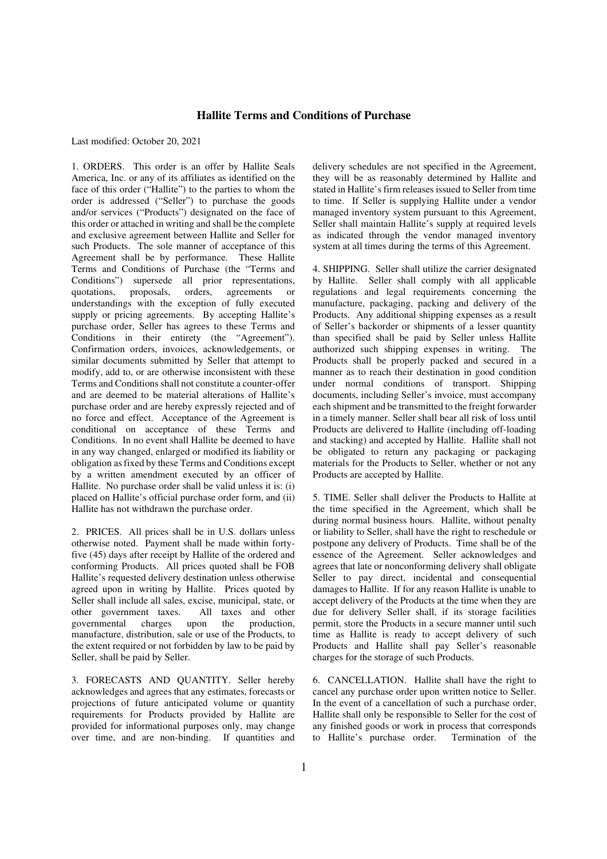## **Hallite Terms and Conditions of Purchase**

Last modified: October 20, 2021

1. ORDERS. This order is an offer by Hallite Seals America, Inc. or any of its affiliates as identified on the face of this order ("Hallite") to the parties to whom the order is addressed ("Seller") to purchase the goods and/or services ("Products") designated on the face of this order or attached in writing and shall be the complete and exclusive agreement between Hallite and Seller for such Products. The sole manner of acceptance of this Agreement shall be by performance. These Hallite Terms and Conditions of Purchase (the "Terms and Conditions") supersede all prior representations,<br>quotations, proposals, orders, agreements or quotations, proposals, orders, agreements or understandings with the exception of fully executed supply or pricing agreements. By accepting Hallite's purchase order, Seller has agrees to these Terms and Conditions in their entirety (the "Agreement"). Confirmation orders, invoices, acknowledgements, or similar documents submitted by Seller that attempt to modify, add to, or are otherwise inconsistent with these Terms and Conditions shall not constitute a counter-offer and are deemed to be material alterations of Hallite's purchase order and are hereby expressly rejected and of no force and effect. Acceptance of the Agreement is conditional on acceptance of these Terms and Conditions. In no event shall Hallite be deemed to have in any way changed, enlarged or modified its liability or obligation as fixed by these Terms and Conditions except by a written amendment executed by an officer of Hallite. No purchase order shall be valid unless it is: (i) placed on Hallite's official purchase order form, and (ii) Hallite has not withdrawn the purchase order.

2. PRICES. All prices shall be in U.S. dollars unless otherwise noted. Payment shall be made within fortyfive (45) days after receipt by Hallite of the ordered and conforming Products. All prices quoted shall be FOB Hallite's requested delivery destination unless otherwise agreed upon in writing by Hallite. Prices quoted by Seller shall include all sales, excise, municipal, state, or other government taxes. All taxes and other<br>governmental charges upon the production. governmental charges upon the manufacture, distribution, sale or use of the Products, to the extent required or not forbidden by law to be paid by Seller, shall be paid by Seller.

3. FORECASTS AND QUANTITY. Seller hereby acknowledges and agrees that any estimates, forecasts or projections of future anticipated volume or quantity requirements for Products provided by Hallite are provided for informational purposes only, may change over time, and are non-binding. If quantities and delivery schedules are not specified in the Agreement, they will be as reasonably determined by Hallite and stated in Hallite's firm releases issued to Seller from time to time. If Seller is supplying Hallite under a vendor managed inventory system pursuant to this Agreement, Seller shall maintain Hallite's supply at required levels as indicated through the vendor managed inventory system at all times during the terms of this Agreement.

4. SHIPPING. Seller shall utilize the carrier designated by Hallite. Seller shall comply with all applicable regulations and legal requirements concerning the manufacture, packaging, packing and delivery of the Products. Any additional shipping expenses as a result of Seller's backorder or shipments of a lesser quantity than specified shall be paid by Seller unless Hallite authorized such shipping expenses in writing. The Products shall be properly packed and secured in a manner as to reach their destination in good condition under normal conditions of transport. Shipping documents, including Seller's invoice, must accompany each shipment and be transmitted to the freight forwarder in a timely manner. Seller shall bear all risk of loss until Products are delivered to Hallite (including off-loading and stacking) and accepted by Hallite. Hallite shall not be obligated to return any packaging or packaging materials for the Products to Seller, whether or not any Products are accepted by Hallite.

5. TIME. Seller shall deliver the Products to Hallite at the time specified in the Agreement, which shall be during normal business hours. Hallite, without penalty or liability to Seller, shall have the right to reschedule or postpone any delivery of Products. Time shall be of the essence of the Agreement. Seller acknowledges and agrees that late or nonconforming delivery shall obligate Seller to pay direct, incidental and consequential damages to Hallite. If for any reason Hallite is unable to accept delivery of the Products at the time when they are due for delivery Seller shall, if its storage facilities permit, store the Products in a secure manner until such time as Hallite is ready to accept delivery of such Products and Hallite shall pay Seller's reasonable charges for the storage of such Products.

6. CANCELLATION. Hallite shall have the right to cancel any purchase order upon written notice to Seller. In the event of a cancellation of such a purchase order, Hallite shall only be responsible to Seller for the cost of any finished goods or work in process that corresponds<br>to Hallite's purchase order. Termination of the to Hallite's purchase order.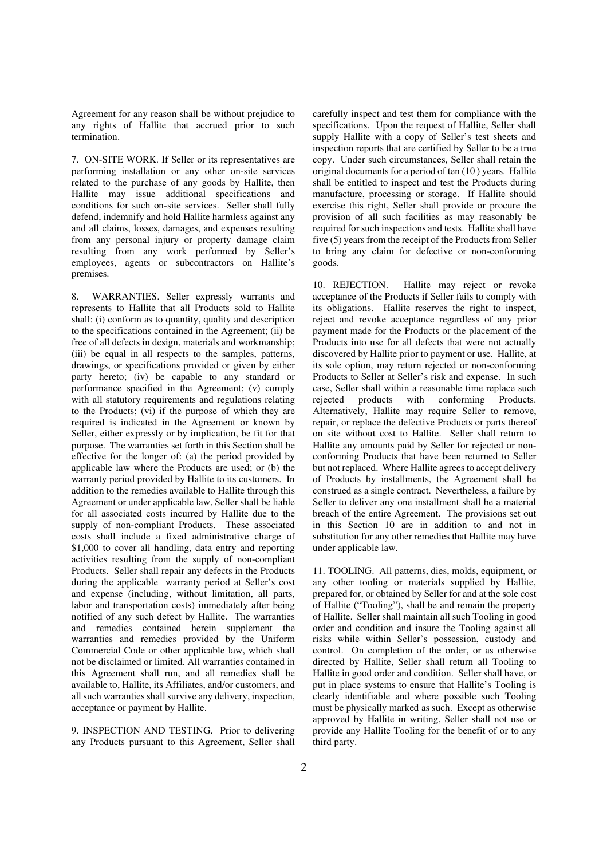Agreement for any reason shall be without prejudice to any rights of Hallite that accrued prior to such termination.

7. ON-SITE WORK. If Seller or its representatives are performing installation or any other on-site services related to the purchase of any goods by Hallite, then Hallite may issue additional specifications and conditions for such on-site services. Seller shall fully defend, indemnify and hold Hallite harmless against any and all claims, losses, damages, and expenses resulting from any personal injury or property damage claim resulting from any work performed by Seller's employees, agents or subcontractors on Hallite's premises.

8. WARRANTIES. Seller expressly warrants and represents to Hallite that all Products sold to Hallite shall: (i) conform as to quantity, quality and description to the specifications contained in the Agreement; (ii) be free of all defects in design, materials and workmanship; (iii) be equal in all respects to the samples, patterns, drawings, or specifications provided or given by either party hereto; (iv) be capable to any standard or performance specified in the Agreement; (v) comply with all statutory requirements and regulations relating to the Products; (vi) if the purpose of which they are required is indicated in the Agreement or known by Seller, either expressly or by implication, be fit for that purpose. The warranties set forth in this Section shall be effective for the longer of: (a) the period provided by applicable law where the Products are used; or (b) the warranty period provided by Hallite to its customers. In addition to the remedies available to Hallite through this Agreement or under applicable law, Seller shall be liable for all associated costs incurred by Hallite due to the supply of non-compliant Products. These associated costs shall include a fixed administrative charge of \$1,000 to cover all handling, data entry and reporting activities resulting from the supply of non-compliant Products. Seller shall repair any defects in the Products during the applicable warranty period at Seller's cost and expense (including, without limitation, all parts, labor and transportation costs) immediately after being notified of any such defect by Hallite. The warranties and remedies contained herein supplement the warranties and remedies provided by the Uniform Commercial Code or other applicable law, which shall not be disclaimed or limited. All warranties contained in this Agreement shall run, and all remedies shall be available to, Hallite, its Affiliates, and/or customers, and all such warranties shall survive any delivery, inspection, acceptance or payment by Hallite.

9. INSPECTION AND TESTING. Prior to delivering any Products pursuant to this Agreement, Seller shall

carefully inspect and test them for compliance with the specifications. Upon the request of Hallite, Seller shall supply Hallite with a copy of Seller's test sheets and inspection reports that are certified by Seller to be a true copy. Under such circumstances, Seller shall retain the original documents for a period of ten (10 ) years. Hallite shall be entitled to inspect and test the Products during manufacture, processing or storage. If Hallite should exercise this right, Seller shall provide or procure the provision of all such facilities as may reasonably be required for such inspections and tests. Hallite shall have five (5) years from the receipt of the Products from Seller to bring any claim for defective or non-conforming goods.

10. REJECTION. Hallite may reject or revoke acceptance of the Products if Seller fails to comply with its obligations. Hallite reserves the right to inspect, reject and revoke acceptance regardless of any prior payment made for the Products or the placement of the Products into use for all defects that were not actually discovered by Hallite prior to payment or use. Hallite, at its sole option, may return rejected or non-conforming Products to Seller at Seller's risk and expense. In such case, Seller shall within a reasonable time replace such rejected products with conforming Products. Alternatively, Hallite may require Seller to remove, repair, or replace the defective Products or parts thereof on site without cost to Hallite. Seller shall return to Hallite any amounts paid by Seller for rejected or nonconforming Products that have been returned to Seller but not replaced. Where Hallite agrees to accept delivery of Products by installments, the Agreement shall be construed as a single contract. Nevertheless, a failure by Seller to deliver any one installment shall be a material breach of the entire Agreement. The provisions set out in this Section 10 are in addition to and not in substitution for any other remedies that Hallite may have under applicable law.

11. TOOLING. All patterns, dies, molds, equipment, or any other tooling or materials supplied by Hallite, prepared for, or obtained by Seller for and at the sole cost of Hallite ("Tooling"), shall be and remain the property of Hallite. Seller shall maintain all such Tooling in good order and condition and insure the Tooling against all risks while within Seller's possession, custody and control. On completion of the order, or as otherwise directed by Hallite, Seller shall return all Tooling to Hallite in good order and condition. Seller shall have, or put in place systems to ensure that Hallite's Tooling is clearly identifiable and where possible such Tooling must be physically marked as such. Except as otherwise approved by Hallite in writing, Seller shall not use or provide any Hallite Tooling for the benefit of or to any third party.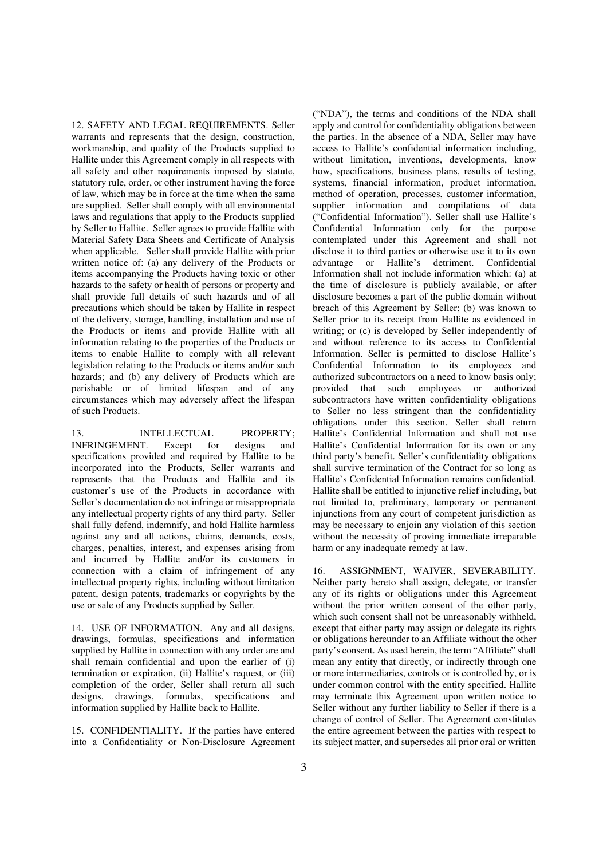12. SAFETY AND LEGAL REQUIREMENTS. Seller warrants and represents that the design, construction, workmanship, and quality of the Products supplied to Hallite under this Agreement comply in all respects with all safety and other requirements imposed by statute, statutory rule, order, or other instrument having the force of law, which may be in force at the time when the same are supplied. Seller shall comply with all environmental laws and regulations that apply to the Products supplied by Seller to Hallite. Seller agrees to provide Hallite with Material Safety Data Sheets and Certificate of Analysis when applicable. Seller shall provide Hallite with prior written notice of: (a) any delivery of the Products or items accompanying the Products having toxic or other hazards to the safety or health of persons or property and shall provide full details of such hazards and of all precautions which should be taken by Hallite in respect of the delivery, storage, handling, installation and use of the Products or items and provide Hallite with all information relating to the properties of the Products or items to enable Hallite to comply with all relevant legislation relating to the Products or items and/or such hazards; and (b) any delivery of Products which are perishable or of limited lifespan and of any circumstances which may adversely affect the lifespan of such Products.

13. INTELLECTUAL PROPERTY; INFRINGEMENT. Except for designs and specifications provided and required by Hallite to be incorporated into the Products, Seller warrants and represents that the Products and Hallite and its customer's use of the Products in accordance with Seller's documentation do not infringe or misappropriate any intellectual property rights of any third party. Seller shall fully defend, indemnify, and hold Hallite harmless against any and all actions, claims, demands, costs, charges, penalties, interest, and expenses arising from and incurred by Hallite and/or its customers in connection with a claim of infringement of any intellectual property rights, including without limitation patent, design patents, trademarks or copyrights by the use or sale of any Products supplied by Seller.

14. USE OF INFORMATION. Any and all designs, drawings, formulas, specifications and information supplied by Hallite in connection with any order are and shall remain confidential and upon the earlier of (i) termination or expiration, (ii) Hallite's request, or (iii) completion of the order, Seller shall return all such designs, drawings, formulas, specifications and information supplied by Hallite back to Hallite.

15. CONFIDENTIALITY. If the parties have entered into a Confidentiality or Non-Disclosure Agreement

("NDA"), the terms and conditions of the NDA shall apply and control for confidentiality obligations between the parties. In the absence of a NDA, Seller may have access to Hallite's confidential information including, without limitation, inventions, developments, know how, specifications, business plans, results of testing, systems, financial information, product information, method of operation, processes, customer information, supplier information and compilations of data ("Confidential Information"). Seller shall use Hallite's Confidential Information only for the purpose contemplated under this Agreement and shall not disclose it to third parties or otherwise use it to its own advantage or Hallite's detriment. Confidential Information shall not include information which: (a) at the time of disclosure is publicly available, or after disclosure becomes a part of the public domain without breach of this Agreement by Seller; (b) was known to Seller prior to its receipt from Hallite as evidenced in writing; or (c) is developed by Seller independently of and without reference to its access to Confidential Information. Seller is permitted to disclose Hallite's Confidential Information to its employees and authorized subcontractors on a need to know basis only; provided that such employees or authorized subcontractors have written confidentiality obligations to Seller no less stringent than the confidentiality obligations under this section. Seller shall return Hallite's Confidential Information and shall not use Hallite's Confidential Information for its own or any third party's benefit. Seller's confidentiality obligations shall survive termination of the Contract for so long as Hallite's Confidential Information remains confidential. Hallite shall be entitled to injunctive relief including, but not limited to, preliminary, temporary or permanent injunctions from any court of competent jurisdiction as may be necessary to enjoin any violation of this section without the necessity of proving immediate irreparable harm or any inadequate remedy at law.

16. ASSIGNMENT, WAIVER, SEVERABILITY. Neither party hereto shall assign, delegate, or transfer any of its rights or obligations under this Agreement without the prior written consent of the other party, which such consent shall not be unreasonably withheld, except that either party may assign or delegate its rights or obligations hereunder to an Affiliate without the other party's consent. As used herein, the term "Affiliate" shall mean any entity that directly, or indirectly through one or more intermediaries, controls or is controlled by, or is under common control with the entity specified. Hallite may terminate this Agreement upon written notice to Seller without any further liability to Seller if there is a change of control of Seller. The Agreement constitutes the entire agreement between the parties with respect to its subject matter, and supersedes all prior oral or written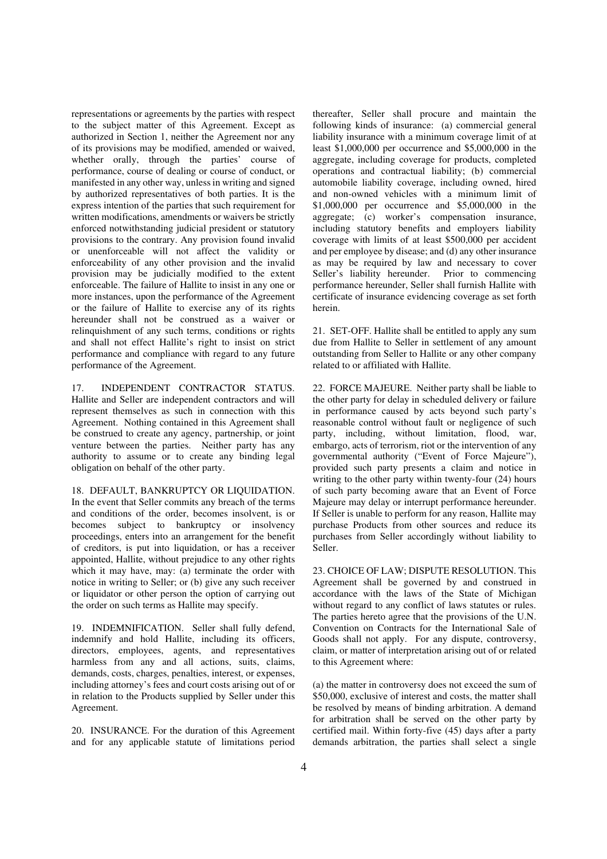representations or agreements by the parties with respect to the subject matter of this Agreement. Except as authorized in Section 1, neither the Agreement nor any of its provisions may be modified, amended or waived, whether orally, through the parties' course of performance, course of dealing or course of conduct, or manifested in any other way, unless in writing and signed by authorized representatives of both parties. It is the express intention of the parties that such requirement for written modifications, amendments or waivers be strictly enforced notwithstanding judicial president or statutory provisions to the contrary. Any provision found invalid or unenforceable will not affect the validity or enforceability of any other provision and the invalid provision may be judicially modified to the extent enforceable. The failure of Hallite to insist in any one or more instances, upon the performance of the Agreement or the failure of Hallite to exercise any of its rights hereunder shall not be construed as a waiver or relinquishment of any such terms, conditions or rights and shall not effect Hallite's right to insist on strict performance and compliance with regard to any future performance of the Agreement.

17. INDEPENDENT CONTRACTOR STATUS. Hallite and Seller are independent contractors and will represent themselves as such in connection with this Agreement. Nothing contained in this Agreement shall be construed to create any agency, partnership, or joint venture between the parties. Neither party has any authority to assume or to create any binding legal obligation on behalf of the other party.

18. DEFAULT, BANKRUPTCY OR LIQUIDATION. In the event that Seller commits any breach of the terms and conditions of the order, becomes insolvent, is or becomes subject to bankruptcy or insolvency proceedings, enters into an arrangement for the benefit of creditors, is put into liquidation, or has a receiver appointed, Hallite, without prejudice to any other rights which it may have, may: (a) terminate the order with notice in writing to Seller; or (b) give any such receiver or liquidator or other person the option of carrying out the order on such terms as Hallite may specify.

19. INDEMNIFICATION. Seller shall fully defend, indemnify and hold Hallite, including its officers, directors, employees, agents, and representatives harmless from any and all actions, suits, claims, demands, costs, charges, penalties, interest, or expenses, including attorney's fees and court costs arising out of or in relation to the Products supplied by Seller under this Agreement.

20. INSURANCE. For the duration of this Agreement and for any applicable statute of limitations period

thereafter, Seller shall procure and maintain the following kinds of insurance: (a) commercial general liability insurance with a minimum coverage limit of at least \$1,000,000 per occurrence and \$5,000,000 in the aggregate, including coverage for products, completed operations and contractual liability; (b) commercial automobile liability coverage, including owned, hired and non-owned vehicles with a minimum limit of \$1,000,000 per occurrence and \$5,000,000 in the aggregate; (c) worker's compensation insurance, including statutory benefits and employers liability coverage with limits of at least \$500,000 per accident and per employee by disease; and (d) any other insurance as may be required by law and necessary to cover Seller's liability hereunder. Prior to commencing performance hereunder, Seller shall furnish Hallite with certificate of insurance evidencing coverage as set forth herein.

21. SET-OFF. Hallite shall be entitled to apply any sum due from Hallite to Seller in settlement of any amount outstanding from Seller to Hallite or any other company related to or affiliated with Hallite.

22. FORCE MAJEURE. Neither party shall be liable to the other party for delay in scheduled delivery or failure in performance caused by acts beyond such party's reasonable control without fault or negligence of such party, including, without limitation, flood, war, embargo, acts of terrorism, riot or the intervention of any governmental authority ("Event of Force Majeure"), provided such party presents a claim and notice in writing to the other party within twenty-four (24) hours of such party becoming aware that an Event of Force Majeure may delay or interrupt performance hereunder. If Seller is unable to perform for any reason, Hallite may purchase Products from other sources and reduce its purchases from Seller accordingly without liability to Seller.

23. CHOICE OF LAW; DISPUTE RESOLUTION. This Agreement shall be governed by and construed in accordance with the laws of the State of Michigan without regard to any conflict of laws statutes or rules. The parties hereto agree that the provisions of the U.N. Convention on Contracts for the International Sale of Goods shall not apply. For any dispute, controversy, claim, or matter of interpretation arising out of or related to this Agreement where:

(a) the matter in controversy does not exceed the sum of \$50,000, exclusive of interest and costs, the matter shall be resolved by means of binding arbitration. A demand for arbitration shall be served on the other party by certified mail. Within forty-five (45) days after a party demands arbitration, the parties shall select a single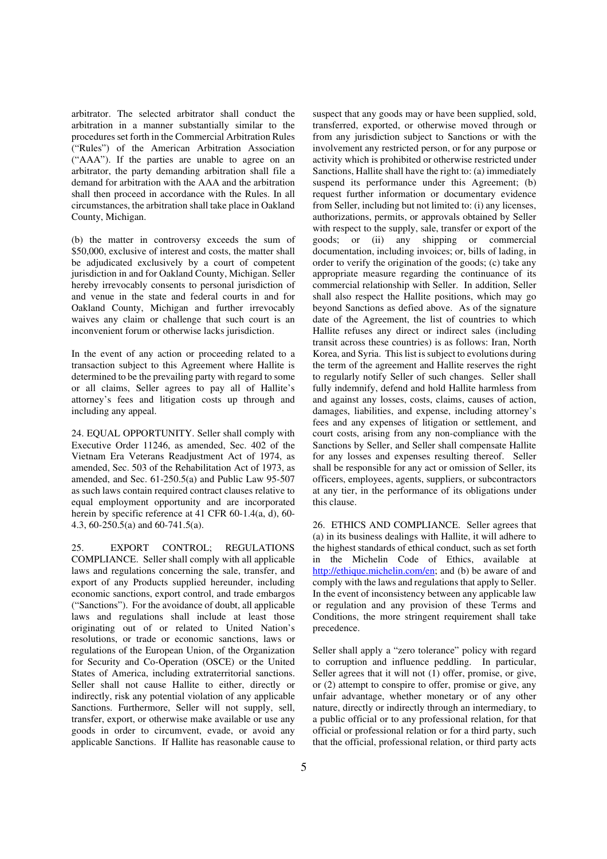arbitrator. The selected arbitrator shall conduct the arbitration in a manner substantially similar to the procedures set forth in the Commercial Arbitration Rules ("Rules") of the American Arbitration Association ("AAA"). If the parties are unable to agree on an arbitrator, the party demanding arbitration shall file a demand for arbitration with the AAA and the arbitration shall then proceed in accordance with the Rules. In all circumstances, the arbitration shall take place in Oakland County, Michigan.

(b) the matter in controversy exceeds the sum of \$50,000, exclusive of interest and costs, the matter shall be adjudicated exclusively by a court of competent jurisdiction in and for Oakland County, Michigan. Seller hereby irrevocably consents to personal jurisdiction of and venue in the state and federal courts in and for Oakland County, Michigan and further irrevocably waives any claim or challenge that such court is an inconvenient forum or otherwise lacks jurisdiction.

In the event of any action or proceeding related to a transaction subject to this Agreement where Hallite is determined to be the prevailing party with regard to some or all claims, Seller agrees to pay all of Hallite's attorney's fees and litigation costs up through and including any appeal.

24. EQUAL OPPORTUNITY. Seller shall comply with Executive Order 11246, as amended, Sec. 402 of the Vietnam Era Veterans Readjustment Act of 1974, as amended, Sec. 503 of the Rehabilitation Act of 1973, as amended, and Sec. 61-250.5(a) and Public Law 95-507 as such laws contain required contract clauses relative to equal employment opportunity and are incorporated herein by specific reference at 41 CFR 60-1.4(a, d), 60-4.3, 60-250.5(a) and 60-741.5(a).

25. EXPORT CONTROL; REGULATIONS COMPLIANCE. Seller shall comply with all applicable laws and regulations concerning the sale, transfer, and export of any Products supplied hereunder, including economic sanctions, export control, and trade embargos ("Sanctions"). For the avoidance of doubt, all applicable laws and regulations shall include at least those originating out of or related to United Nation's resolutions, or trade or economic sanctions, laws or regulations of the European Union, of the Organization for Security and Co-Operation (OSCE) or the United States of America, including extraterritorial sanctions. Seller shall not cause Hallite to either, directly or indirectly, risk any potential violation of any applicable Sanctions. Furthermore, Seller will not supply, sell, transfer, export, or otherwise make available or use any goods in order to circumvent, evade, or avoid any applicable Sanctions. If Hallite has reasonable cause to

suspect that any goods may or have been supplied, sold, transferred, exported, or otherwise moved through or from any jurisdiction subject to Sanctions or with the involvement any restricted person, or for any purpose or activity which is prohibited or otherwise restricted under Sanctions, Hallite shall have the right to: (a) immediately suspend its performance under this Agreement; (b) request further information or documentary evidence from Seller, including but not limited to: (i) any licenses, authorizations, permits, or approvals obtained by Seller with respect to the supply, sale, transfer or export of the goods; or (ii) any shipping or commercial documentation, including invoices; or, bills of lading, in order to verify the origination of the goods; (c) take any appropriate measure regarding the continuance of its commercial relationship with Seller. In addition, Seller shall also respect the Hallite positions, which may go beyond Sanctions as defied above. As of the signature date of the Agreement, the list of countries to which Hallite refuses any direct or indirect sales (including transit across these countries) is as follows: Iran, North Korea, and Syria. This list is subject to evolutions during the term of the agreement and Hallite reserves the right to regularly notify Seller of such changes. Seller shall fully indemnify, defend and hold Hallite harmless from and against any losses, costs, claims, causes of action, damages, liabilities, and expense, including attorney's fees and any expenses of litigation or settlement, and court costs, arising from any non-compliance with the Sanctions by Seller, and Seller shall compensate Hallite for any losses and expenses resulting thereof. Seller shall be responsible for any act or omission of Seller, its officers, employees, agents, suppliers, or subcontractors at any tier, in the performance of its obligations under this clause.

26. ETHICS AND COMPLIANCE. Seller agrees that (a) in its business dealings with Hallite, it will adhere to the highest standards of ethical conduct, such as set forth in the Michelin Code of Ethics, available at http://ethique.michelin.com/en; and (b) be aware of and comply with the laws and regulations that apply to Seller. In the event of inconsistency between any applicable law or regulation and any provision of these Terms and Conditions, the more stringent requirement shall take precedence.

Seller shall apply a "zero tolerance" policy with regard to corruption and influence peddling. In particular, Seller agrees that it will not (1) offer, promise, or give, or (2) attempt to conspire to offer, promise or give, any unfair advantage, whether monetary or of any other nature, directly or indirectly through an intermediary, to a public official or to any professional relation, for that official or professional relation or for a third party, such that the official, professional relation, or third party acts